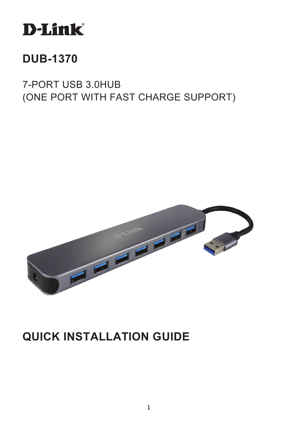

# **DUB-1370**

7-PORT USB 3.0HUB (ONE PORT WITH FAST CHARGE SUPPORT)



# **QUICK INSTALLATION GUIDE**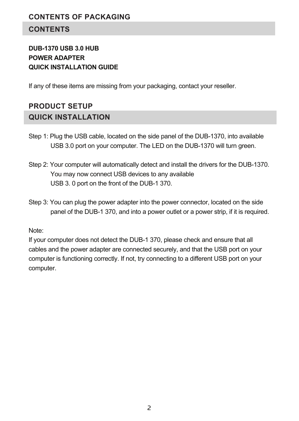# **CONTENTS**

# **DUB-1370 USB 3.0 HUB POWER ADAPTER QUICK INSTALLATION GUIDE**

If any of these items are missing from your packaging, contact your reseller.

# **PRODUCT SETUP QUICK INSTALLATION**

- Step 1: Plug the USB cable, located on the side panel of the DUB-1370, into available USB 3.0 port on your computer. The LED on the DUB-1370 will turn green.
- Step 2: Your computer will automatically detect and install the drivers for the DUB-1370. You may now connect USB devices to any available USB 3. 0 port on the front of the DUB-1 370.
- Step 3: You can plug the power adapter into the power connector, located on the side panel of the DUB-1 370, and into a power outlet or a power strip, if it is required.

#### Note:

If your computer does not detect the DUB-1 370, please check and ensure that all cables and the power adapter are connected securely, and that the USB port on your computer is functioning correctly. If not, try connecting to a different USB port on your computer.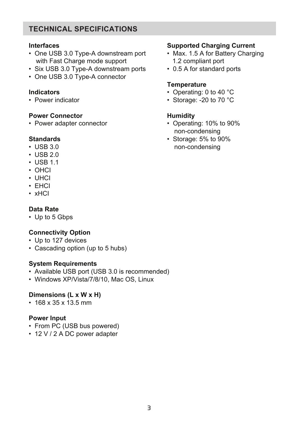# **TECHNICAL SPECIFICATIONS**

#### **Interfaces**

- One USB 3.0 Type-A downstream port with Fast Charge mode support
- Six USB 3.0 Type-A downstream ports
- One USB 3.0 Type-A connector

#### **Indicators**

• Power indicator

## **Power Connector**

• Power adapter connector

#### **Standards**

- USB 3.0
- $\cdot$  USB 2.0
- USB 1.1
- OHCI
- UHCI
- EHCI
- xHCI

# **Data Rate**

• Up to 5 Gbps

# **Connectivity Option**

- Up to 127 devices
- Cascading option (up to 5 hubs)

#### **System Requirements**

- Available USB port (USB 3.0 is recommended)
- Windows XP/Vista/7/8/10, Mac OS, Linux

## **Dimensions (L x W x H)**

• 168 x 35 x 13.5 mm

## **Power Input**

- From PC (USB bus powered)
- 12 V / 2 A DC power adapter

# **Supported Charging Current**

- Max. 1.5 A for Battery Charging 1.2 compliant port
- 0.5 A for standard ports

## **Temperature**

- Operating: 0 to 40 °C
- Storage: -20 to 70 °C

# **Humidity**

- Operating: 10% to 90% non-condensing
- Storage: 5% to 90% non-condensing